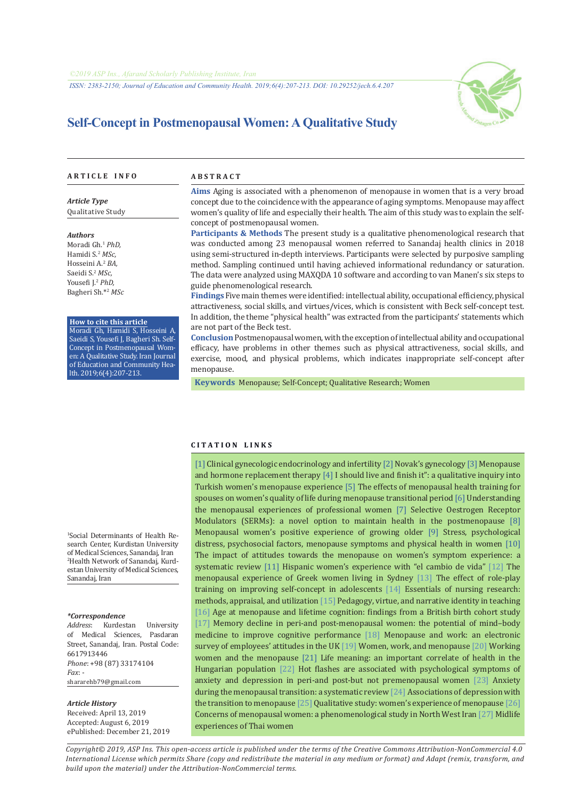*ISSN: 2383-2150; Journal of Education and Community Health. 2019;6(4):207-213. DOI: 10.29252/jech.6.4.207*



# **Self-Concept in Postmenopausal Women: A Qualitative Study**

#### **A R T I C L E I N F O A B S T R A C T**

*Article Type* Qualitative Study

*Authors*

Moradi Gh.1 *PhD,* Hamidi S.2 *MSc,* Hosseini A.2 *BA,* Saeidi S.2 *MSc,* Yousefi J.<sup>2</sup> *PhD,* Bagheri Sh.\*<sup>2</sup>  *MSc*

#### **How to cite this article**

Moradi Gh, Hamidi S, Hosseini A, Saeidi S, Yousefi J, Bagheri Sh. Self-Concept in Postmenopausal Women: A Qualitative Study. Iran Journal of Education and Community Health. 2019;6(4):207-213.

**Aims** Aging is associated with a phenomenon of menopause in women that is a very broad concept due to the coincidence with the appearance of aging symptoms. Menopause may affect women's quality of life and especially their health. The aim of this study was to explain the selfconcept of postmenopausal women.

**Participants & Methods** The present study is a qualitative phenomenological research that was conducted among 23 menopausal women referred to Sanandaj health clinics in 2018 using semi-structured in-depth interviews. Participants were selected by purposive sampling method. Sampling continued until having achieved informational redundancy or saturation. The data were analyzed using MAXQDA 10 software and according to van Manen's six steps to guide phenomenological research.

**Findings** Five main themes were identified: intellectual ability, occupational efficiency, physical attractiveness, social skills, and virtues/vices, which is consistent with Beck self-concept test. In addition, the theme "physical health" was extracted from the participants' statements which are not part of the Beck test.

**Conclusion** Postmenopausal women, with the exception of intellectual ability and occupational efficacy, have problems in other themes such as physical attractiveness, social skills, and exercise, mood, and physical problems, which indicates inappropriate self-concept after menopause.

 **Keywords** [Menopause;](https://www.ncbi.nlm.nih.gov/mesh/68008593) [Self-Concept](https://www.ncbi.nlm.nih.gov/mesh/68012649); [Qualitative Research;](https://www.ncbi.nlm.nih.gov/mesh/68036301) [Women](https://www.ncbi.nlm.nih.gov/mesh/68014930)

#### **C I T A T I O N L I N K S**

[[1\]](https://books.google.com/books?id=8sIkqPT2gh4C&printsec=frontcover&dq) Clinical gynecologic endocrinology and infertility [[2\]](https://books.google.com/books?id=c4eeQgAACAAJ&dq) Novak's gynecology [\[3](http://opac.nlai.ir/opac-prod/bibliographic/588819)] Menopause and hormone replacement therapy [\[4](https://www.ncbi.nlm.nih.gov/pubmed/19134179)] I should live and finish it": a qualitative inquiry into Turkish women's menopause experience [[5\]](https://www.ncbi.nlm.nih.gov/pubmed/26783984) The effects of menopausal health training for spouses on women's quality of life during menopause transitional period [[6](https://www.ncbi.nlm.nih.gov/pubmed/18779760)] Understanding the menopausal experiences of professional women [[7\]](https://bit.ly/2D9xWV5) Selective Oestrogen Receptor Modulators (SERMs): a novel option to maintain health in the postmenopause [[8\]](https://www.ncbi.nlm.nih.gov/pubmed/16413977) Menopausal women's positive experience of growing older [\[9](https://www.ncbi.nlm.nih.gov/pubmed/19167176)] Stress, psychological distress, psychosocial factors, menopause symptoms and physical health in women [[10\]](https://www.ncbi.nlm.nih.gov/pubmed/19954900) The impact of attitudes towards the menopause on women's symptom experience: a systematic review [[11](https://www.ncbi.nlm.nih.gov/pubmed/12861893)] Hispanic women's experience with "el cambio de vida" [\[12](https://www.ncbi.nlm.nih.gov/pubmed/18467952)] The menopausal experience of Greek women living in Sydney [[13\]](http://ensani.ir/fa/article/21779/) The effect of role-play training on improving self-concept in adolescents [[14\]](https://books.google.com/books?id=ehm4me-CxJcC&dq) Essentials of nursing research: methods, appraisal, and utilization [\[15\]](https://www.tandfonline.com/doi/abs/10.1080/03626784.1994.11076157) Pedagogy, virtue, and narrative identity in teaching [[16](https://www.ncbi.nlm.nih.gov/pubmed/29643079)] Age at menopause and lifetime cognition: findings from a British birth cohort study [[17](https://www.ncbi.nlm.nih.gov/pubmed/25125972)] Memory decline in peri-and post-menopausal women: the potential of mind–body medicine to improve cognitive performance [[18\]](https://www.ncbi.nlm.nih.gov/pubmed/23973049) Menopause and work: an electronic survey of employees' attitudes in the UK [\[19](https://www.ncbi.nlm.nih.gov/pubmed/22228323)] Women, work, and menopause [[20\]](https://www.ncbi.nlm.nih.gov/pubmed/25830628) Working women and the menopause [\[21](https://www.ncbi.nlm.nih.gov/pubmed/15901216)] Life meaning: an important correlate of health in the Hungarian population [[22\]](https://www.ncbi.nlm.nih.gov/pubmed/16186074) Hot flashes are associated with psychological symptoms of anxiety and depression in peri-and post-but not premenopausal women [[23](https://www.ncbi.nlm.nih.gov/pubmed/21783260)] Anxiety during the menopausal transition: a systematic review [[24\]](https://www.ncbi.nlm.nih.gov/pubmed/20531231) Associations of depression with the transition to menopause [\[25](http://jsums.medsab.ac.ir/article_83.html)] Qualitative study: women's experience of menopause [[26\]](http://payeshjournal.ir/article-1-304-fa.html) Concerns of menopausal women: a phenomenological study in North West Iran [[27](https://www.ncbi.nlm.nih.gov/pubmed/15186467)] Midlife experiences of Thai women

1 Social Determinants of Health Research Center, Kurdistan University of Medical Sciences, Sanandaj, Iran 2 Health Network of Sanandaj, Kurdestan University of Medical Sciences, Sanandaj, Iran

#### *\*Correspondence*

*Address*: Kurdestan University of Medical Sciences, Pasdaran Street, Sanandaj, Iran. Postal Code: 6617913446 *Phone*: +98 (87) 33174104 *Fax*: shararehb79@gmail.com

#### *Article History*

Received: April 13, 2019 Accepted: August 6, 2019 ePublished: December 21, 2019

*Copyright© 2019, ASP Ins. This open-access article is published under the terms of the Creative Commons Attribution-NonCommercial 4.0 International License which permits Share (copy and redistribute the material in any medium or format) and Adapt (remix, transform, and build upon the material) under the Attribution-NonCommercial terms.*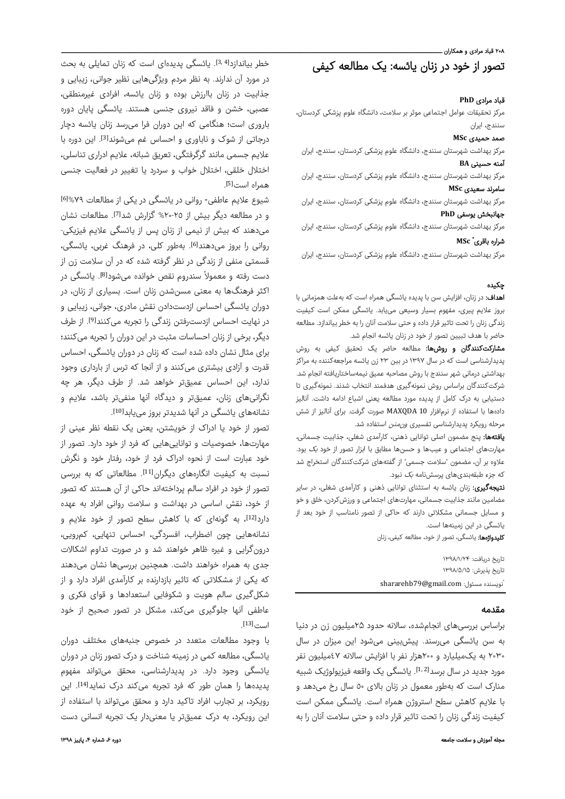#### ۲۰۸ قباد مرادی و همکاران ــ

# تصور از خود در زنان یائسه: یک مطالعه کیفی

## قباد مرادی **PhD**

مرکز تحقیقات عوامل اجتماعی موثر بر سلامت، دانشگاه علوم پزشکی کردستان، سنندج، ایران

## صمد حمیدی **MSc**

مرکز بهداشت شهرستان سنندج، دانشگاه علوم پزشکی کردستان، سنندج، ایران آمنه حسینی **BA**

مرکز بهداشت شهرستان سنندج، دانشگاه علوم پزشکی کردستان، سنندج، ایران سامرند سعیدی **MSc**

مرکز بهداشت شهرستان سنندج، دانشگاه علوم پزشکی کردستان، سنندج، ایران جهانبخش یوسفی **PhD**

مرکز بهداشت شهرستان سنندج، دانشگاه علوم پزشکی کردستان، سنندج، ایران

#### **MSc** \* شراره باقر ی

مرکز بهداشت شهرستان سنندج، دانشگاه علوم پزشکی کردستان، سنندج، ایران

## چکیده

اهداف: در زنان، افزایش سن با پدیده یائسگی همراه است که بهعلت همزمانی با بروز علایم پیری، مفهوم بسیار وسیعی مییابد. یائسگی ممکن است کیفیت زندگی زنان را تحت تاثیر قرار داده و حتی سلامت آنان را به خطر بیاندازد. مطالعه حاضر با هدف تبیین تصور از خود در زنان یائسه انجام شد.

م**شارکتکنندگان و روشها:** مطالعه حاضر یک تحقیق کیفی به روش پدیدارشناسی است که در سال ۱۳۹۷ در بین ۲۳ زن یائسه مراجعهکننده به مراکز بهداشتی درمانی شهر سنندج با روش مصاحبه عمیق نیمهساختاریافته انجام شد. شرکتکنندگان براساس روش نمونهگیری هدفمند انتخاب شدند. نمونهگیری تا دستیابی به درک کامل از پدیده مورد مطالعه یعنی اشباع ادامه داشت. آنالیز دادهها با استفاده از نرمافزار 10 MAXQDA صورت گرفت. برای آنالیز از شش مرحله رویکرد پدیدارشناسی تفسیری *ونمنن* استفاده شد.

یافتهها: پنج مضمون اصلی توانایی ذهنی، کارآمدی شغلی، جذابیت جسمانی، مهارتهای اجتماعی و عیبها و حسنها مطابق با ابزار تصور از خود بک بود. علاوه بر آن، مضمون "سلامت جسمی" از گفتههای شرکتکنندگان استخراج شد که جزء طبقهبندیهای پرسشنامه بک نبود.

نتیجهگیری: زنان یائسه به استثنای توانایی ذهنی و کارآمدی شغلی، در سایر مضامین مانند جذابیت جسمانی، مهارتهای اجتماعی و ورزشکردن، خلق و خو و مسایل جسمانی مشکلاتی دارند که حاکی از تصور نامناسب از خود بعد از یائسگی در این زمینهها است.

کلیدواژهها: یائسگی، تصور از خود، مطالعه کیفی، زنان

تاریخ دریافت: ۱۳۹۸/۱/۲۴ تاریخ پذیرش: ۱۳۹۸/۵/۱۵ shararehb79@gmail.com : نویسنده مسئول

### مقدمه

براساس بررسیهای انجامشده، سالانه حدود ۲۵میلیون زن در دنیا به سن یائسگی میرسند. پیشبینی میشود این میزان در سال ٢٠٣٠ به یکمیلیارد و ٢٠٠هزار نفر با افزایش سالانه ٤٧میلیون نفر مورد جدید در سال برسد<sup>[2,]</sup>. یائسگی یک واقعه فیزیولوژیک شبیه منارک است که بهطور معمول در زنان بالای ٥٠ سال رخ میدهد و با علایم کاهش سطح استروژن همراه است. یائسگی ممکن است کیفیت زندگی زنان را تحت تاثیر قرار داده و حتی سلامت آنان را به

خطر بیاندازد[4 3,]. یائسگی پدیدهای است که زنان تمایلی به بحث در مورد آن ندارند. به نظر مردم ویژگیهایی نظیر جوانی، زیبایی و جذابیت در زنان باارزش بوده و زنان یائسه، افرادی غیرمنطقی، عصبی، خشن و فاقد نیروی جنسی هستند. یائسگی پایان دوره باروری است؛ هنگامی که این دوران فرا میرسد زنان یائسه دچار درجاتی از شوک و ناباوری و احساس غم میشوند<sup>[3]</sup>. این دوره با علایم جسمی مانند گرگرفتگی، تعریق شبانه، علایم ادراری تناسلی، اختلال خلقی، اختلال خواب و سردرد یا تغییر در فعالیت جنسی همراه است<sup>[5]</sup>.

شیوع علایم عاطفی‐ روانی در یائسگی در یکی از مطالعات %٧٩[6] و در مطالعه دیگر بیش از ٢٥-٢٠% گزارش شد<sup>[7]</sup>. مطالعات نشان میدهند که بیش از نیمی از زنان پس از یائسگی علایم فیزیکی- روانی را بروز میدهند<sup>[6]</sup>. بهطور کلی، در فرهنگ غربی، یائسگی، قسمتی منفی از زندگی در نظر گرفته شده که در آن سلامت زن از دست رفته و معمولاً سندروم نقص خوانده میشود<sup>[8]</sup>. یائسگی در اکثر فرهنگها به معنی مسنشدن زنان است. بسیاری از زنان، در دوران یائسگی احساس ازدستدادن نقش مادری، جوانی، زیبایی و در نهایت احساس ازدسترفتن زندگی را تجربه میکنند<sup>[9]</sup>. از طرف دیگر، برخی از زنان احساسات مثبت در این دوران را تجربه میکنند؛ برای مثال نشان داده شده است که زنان در دوران یائسگی، احساس قدرت و آزادی بیشتری میکنند و از آنجا که ترس از بارداری وجود ندارد، این احساس عمیقتر خواهد شد. از طرف دیگر، هر چه نگرانیهای زنان، عمیقتر و دیدگاه آنها منفیتر باشد، علایم و نشانههای یائسگی در آنها شدیدتر بروز مییابد<sup>[10]</sup>.

تصور از خود یا ادراک از خویشتن، یعنی یک نقطه نظر عینی از مهارتها، خصوصیات و تواناییهایی که فرد از خود دارد. تصور از خود عبارت است از نحوه ادراک فرد از خود، رفتار خود و نگرش نسبت به کیفیت انگارههای دیگران<sup>[11]</sup>. مطالعاتی که به بررسی تصور از خود در افراد سالم پرداختهاند حاکی از آن هستند که تصور از خود، نقش اساسی در بهداشت و سلامت روانی افراد به عهده دارد<sup>[12]</sup>، به گونهای که با کاهش سطح تصور از خود علایم و نشانههایی چون اضطراب، افسردگی، احساس تنهایی، کمرویی، درونگرایی و غیره ظاهر خواهند شد و در صورت تداوم اشکالات جدی به همراه خواهند داشت. همچنین بررسیها نشان میدهند که یکی از مشکلاتی که تاثیر بازدارنده بر کارآمدی افراد دارد و از شکلگیری سالم هویت و شکوفایی استعدادها و قوای فکری و عاطفی آنها جلوگیری میکند، مشکل در تصور صحیح از خود است<sup>[13]</sup>.

با وجود مطالعات متعدد در خصوص جنبههای مختلف دوران یائسگی، مطالعه کمی در زمینه شناخت و درک تصور زنان در دوران یائسگی وجود دارد. در پدیدارشناسی، محقق میتواند مفهوم یدیدهها را همان طور که فرد تجربه میکند درک نماید<sup>[14]</sup>. این رویکرد، بر تجارب افراد تاکید دارد و محقق میتواند با استفاده از این رویکرد، به درک عمیقتر یا معنیدار یک تجربه انسانی دست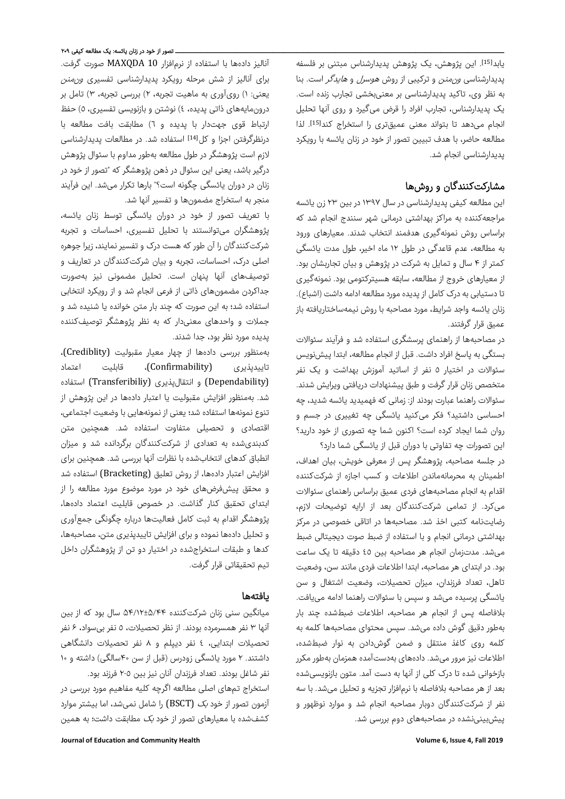یابد<sup>[15]</sup>. این پژوهش، یک پژوهش پدیدارشناس مبتنی بر فلسفه پدیدارشناسی *ونمنن* و ترکیبی از روش *هوسرل* و *هایدگر* است. بنا به نظر وی، تاکید پدیدارشناسی بر معنیبخشی تجارب زنده است. یک پدیدارشناس، تجارب افراد را قرض میگیرد و روی آنها تحلیل انجام میدهد تا بتواند معنی عمیقتری را استخراج کند<sup>[15]</sup>. لذا مطالعه حاضر، با هدف تبیین تصور از خود در زنان یائسه با رویکرد پدیدارشناسی انجام شد.

# مشارکتکنندگان و روشها

این مطالعه کیفی پدیدارشناسی در سال ١٣٩٧ در بین ٢٣ زن یائسه مراجعهکننده به مراکز بهداشتی درمانی شهر سنندج انجام شد که براساس روش نمونهگیری هدفمند انتخاب شدند. معیارهای ورود به مطالعه، عدم قاعدگی در طول ۱۲ ماه اخیر، طول مدت یائسگی کمتر از ۴ سال و تمایل به شرکت در پژوهش و بیان تجاربشان بود. از معیارهای خروج از مطالعه، سابقه هسیترکتومی بود. نمونهگیری تا دستیابی به درک کامل از پدیده مورد مطالعه ادامه داشت (اشباع). زنان یائسه واجد شرایط، مورد مصاحبه با روش نیمهساختاریافته باز عمیق قرار گرفتند.

در مصاحبهها از راهنمای پرسشگری استفاده شد و فرآیند سئوالات بستگی به پاسخ افراد داشت. قبل از انجام مطالعه، ابتدا پیشنویس سئوالات در اختیار ٥ نفر از اساتید آموزش بهداشت و یک نفر متخصص زنان قرار گرفت و طبق پیشنهادات دریافتی ویرایش شدند. سئوالات راهنما عبارت بودند از: زمانی که فهمیدید یائسه شدید، چه احساسی داشتید؟ فکر میکنید یائسگی چه تغییری در جسم و روان شما ایجاد کرده است؟ اکنون شما چه تصوری از خود دارید؟ این تصورات چه تفاوتی با دوران قبل از یائسگی شما دارد؟

در جلسه مصاحبه، پژوهشگر پس از معرفی خویش، بیان اهداف، اطمینان به محرمانهماندن اطلاعات و کسب اجازه از شرکتکننده اقدام به انجام مصاحبههای فردی عمیق براساس راهنمای سئوالات میکرد. از تمامی شرکتکنندگان بعد از ارایه توضیحات لازم، رضایتنامه کتبی اخذ شد. مصاحبهها در اتاقی خصوصی در مرکز بهداشتی درمانی انجام و با استفاده از ضبط صوت دیجیتالی ضبط میشد. مدتزمان انجام هر مصاحبه بین ٤٥ دقیقه تا یک ساعت بود. در ابتدای هر مصاحبه، ابتدا اطلاعات فردی مانند سن، وضعیت تاهل، تعداد فرزندان، میزان تحصیلات، وضعیت اشتغال و سن یائسگی پرسیده میشد و سپس با سئوالات راهنما ادامه مییافت. بلافاصله پس از انجام هر مصاحبه، اطلاعات ضبطشده چند بار بهطور دقیق گوش داده میشد. سپس محتوای مصاحبهها کلمه به کلمه روی کاغذ منتقل و ضمن گوشدادن به نوار ضبطشده، اطلاعات نیز مرور میشد. دادههای بهدستآمده همزمان بهطور مکرر بازخوانی شده تا درک کلی از آنها به دست آمد. متون بازنویسیشده بعد از هر مصاحبه بلافاصله با نرمافزار تجزیه و تحلیل میشد. با سه نفر از شرکتکنندگان دوبار مصاحبه انجام شد و موارد نوظهور و پیشبینینشده در مصاحبههای دوم بررسی شد.

## ـــــــــــــــــــــ تصور از خود در زنان یائسه: یک مطالعه کیفی ۲۰۹

آنالیز دادهها با استفاده از نرمافزار 10 MAXQDA صورت گرفت. برای آنالیز از شش مرحله رویکرد پدیدارشناسی تفسیری *ونمنن* یعنی: ١) رویآوری به ماهیت تجربه، ٢) بررسی تجربه، ٣) تامل بر درونمایههای ذاتی پدیده، ٤) نوشتن و بازنویسی تفسیری، ٥) حفظ ارتباط قوی جهتدار با پدیده و ٦) مطابقت بافت مطالعه با درنظرگرفتن اجزا و کل<sup>[14]</sup> استفاده شد. در مطالعات پدیدارشناسی لازم است پژوهشگر در طول مطالعه بهطور مداوم با سئوال پژوهش درگیر باشد، یعنی این سئوال در ذهن پژوهشگر که "تصور از خود در زنان در دوران یائسگی چگونه است؟" بارها تکرار میشد. این فرآیند منجر به استخراج مضمونها و تفسیر آنها شد.

با تعریف تصور از خود در دوران یائسگی توسط زنان یائسه، پژوهشگران میتوانستند با تحلیل تفسیری، احساسات و تجربه شرکتکنندگان را آن طور که هست درک و تفسیر نمایند، زیرا جوهره اصلی درک، احساسات، تجربه و بیان شرکتکنندگان در تعاریف و توصیفهای آنها پنهان است. تحلیل مضمونی نیز بهصورت جداکردن مضمونهای ذاتی از فرعی انجام شد و از رویکرد انتخابی استفاده شد؛ به این صورت که چند بار متن خوانده یا شنیده شد و جملات و واحدهای معنیدار که به نظر پژوهشگر توصیفکننده پدیده مورد نظر بود، جدا شدند.

بهمنظور بررسی دادهها از چهار معیار مقبولیت (Crediblity(، تاییدپذیری (Confirmability(، قابلیت اعتماد (Dependability (و انتقالپذیری (Transferibiliy (استفاده شد. بهمنظور افزایش مقبولیت یا اعتبار دادهها در این پژوهش از تنوع نمونهها استفاده شد؛ یعنی از نمونههایی با وضعیت اجتماعی، اقتصادی و تحصیلی متفاوت استفاده شد. همچنین متن کدبندیشده به تعدادی از شرکتکنندگان برگردانده شد و میزان انطباق کدهای انتخابشده با نظرات آنها بررسی شد. همچنین برای افزایش اعتبار دادهها، از روش تعلیق (Bracketing (استفاده شد و محقق پیشفرضهای خود در مورد موضوع مورد مطالعه را از ابتدای تحقیق کنار گذاشت. در خصوص قابلیت اعتماد دادهها، پژوهشگر اقدام به ثبت کامل فعالیتها درباره چگونگی جمعآوری و تحلیل دادهها نموده و برای افزایش تاییدپذیری متن، مصاحبهها، کدها و طبقات استخراجشده در اختیار دو تن از پژوهشگران داخل تیم تحقیقاتی قرار گرفت.

## یافتهها

میانگین سنی زنان شرکتکننده ۵۴/۱۲±۵/۴۴ سال بود که از بین آنها ٣ نفر همسرمرده بودند. از نظر تحصیلات، ٥ نفر بیسواد، ۶ نفر تحصیلات ابتدایی، ٤ نفر دیپلم و ٨ نفر تحصیلات دانشگاهی داشتند. ۲ مورد یائسگی زودرس (قبل از سن ۴۰سالگی) داشته و ۱۰ نفر شاغل بودند. تعداد فرزندان آنان نیز بین ٢-٥ فرزند بود.

استخراج تمهای اصلی مطالعه اگرچه کلیه مفاهیم مورد بررسی در آزمون تصور از خود بک (BSCT (را شامل نمیشد، اما بیشتر موارد کشفشده با معیارهای تصور از خود بک مطابقت داشت؛ به همین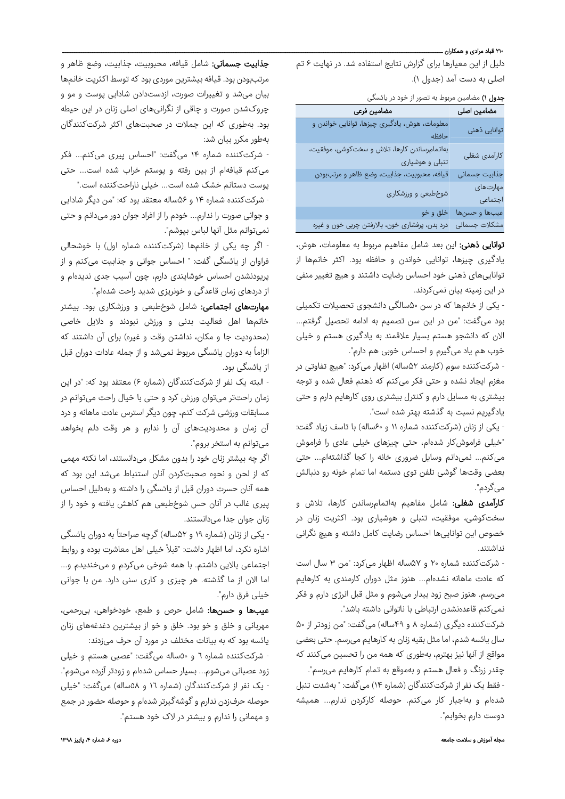## ۲۱۰ قباد مرادی و همکاران ــ

دلیل از این معیارها برای گزارش نتایج استفاده شد. در نهایت ۶ تم اصلی به دست آمد (جدول <sup>۱</sup>).

# جدول ۱) مضامین مربوط به تصور از خود در یائسگی

| معلومات، هوش، یادگیری چیزها، توانایی خواندن و                   |
|-----------------------------------------------------------------|
| توانایی ذهنی                                                    |
| حافظه                                                           |
| بهاتمامرساندن كارها، تلاش و سختكوشى، موفقيت،<br>كارآمدى شغلى    |
| تنبلی و هوشیاری                                                 |
| جذابيت جسمانى<br>قيافه، محبوبيت، جذابيت، وضع ظاهر و مرتببودن    |
| مهارتهای<br>شوخطبعی و ورزشکاری                                  |
| اجتماعى                                                         |
| عيبها وحسنها<br>خلق و خو                                        |
| مشكلات جسمانى<br>درد بدن، پرفشاری خون، بالارفتن چربی خون و غیره |

توانایی ذهنی: این بعد شامل مفاهیم مربوط به معلومات، هوش، یادگیری چیزها، توانایی خواندن و حافظه بود. اکثر خانمها از تواناییهای ذهنی خود احساس رضایت داشتند و هیچ تغییر منفی در این زمینه بیان نمیکردند.

- یکی از خانمها که در سن ۵۰سالگی دانشجوی تحصیلات تکمیلی بود میگفت: "من در این سن تصمیم به ادامه تحصیل گرفتم... الان که دانشجو هستم بسیار علاقمند به یادگیری هستم و خیلی خوب هم یاد میگیرم و احساس خوبی هم دارم".

- شرکتکننده سوم (کارمند ۵۲ساله) اظهار میکرد: "هیچ تفاوتی در مغزم ایجاد نشده و حتی فکر میکنم که ذهنم فعال شده و توجه بیشتری به مسایل دارم و کنترل بیشتری روی کارهایم دارم و حتی یادگیریم نسبت به گذشته بهتر شده است".

- یکی از زنان (شرکتکننده شماره ۱۱ و ۶۰ساله) با تاسف زیاد گفت: "خیلی فراموشکار شدهام، حتی چیزهای خیلی عادی را فراموش میکنم... نمیدانم وسایل ضروری خانه را کجا گذاشتهام... حتی بعضی وقتها گوشی تلفن توی دستمه اما تمام خونه رو دنبالش میگردم".

کارآمدی شغلی: شامل مفاهیم بهاتمامرساندن کارها، تلاش و سختکوشی، موفقیت، تنبلی و هوشیاری بود. اکثریت زنان در خصوص این تواناییها احساس رضایت کامل داشته و هیچ نگرانی نداشتند.

- شرکتکننده شماره ۲۰ و ۵۷ساله اظهار میکرد: "من ۳ سال است که عادت ماهانه نشدهام... هنوز مثل دوران کارمندی به کارهایم میرسم. هنوز صبح زود بیدار میشوم و مثل قبل انرژی دارم و فکر نمیکنم قاعدهنشدن ارتباطی با ناتوانی داشته باشد".

شرکتکننده دیگری (شماره ۸ و ۴۹ساله) میگفت: "من زودتر از ۵۰ سال یائسه شدم، اما مثل بقیه زنان به کارهایم میرسم. حتی بعضی مواقع از آنها نیز بهترم، بهطوری که همه من را تحسین میکنند که چقدر زرنگ و فعال هستم و بهموقع به تمام کارهایم میرسم".

- فقط یک نفر از شرکتکنندگان (شماره ۱۴) میگفت: " بهشدت تنبل شدهام و بهاجبار کار میکنم. حوصله کارکردن ندارم... همیشه دوست دارم بخوابم".

جذابیت جسمانی: شامل قیافه، محبوبیت، جذابیت، وضع ظاهر و مرتببودن بود. قیافه بیشترین موردی بود که توسط اکثریت خانمها بیان میشد و تغییرات صورت، ازدستدادن شادابی پوست و مو و چروکشدن صورت و چاقی از نگرانیهای اصلی زنان در این حیطه بود. بهطوری که این جملات در صحبتهای اکثر شرکتکنندگان بهطور مکرر بیان شد:

- شرکتکننده شماره ۱۴ میگفت: "احساس پیری میکنم... فکر میکنم قیافهام از بین رفته و پوستم خراب شده است... حتی پوست دستانم خشک شده است... خیلی ناراحتکننده است."

- شرکتکننده شماره ۱۴ و ۵۶ساله معتقد بود که: "من دیگر شادابی و جوانی صورت را ندارم... خودم را از افراد جوان دور میدانم و حتی نمیتوانم مثل آنها لباس بپوشم".

- اگر چه یکی از خانمها (شرکتکننده شماره اول) با خوشحالی فراوان از یائسگی گفت: " احساس جوانی و جذابیت میکنم و از پریودنشدن احساس خوشایندی دارم، چون آسیب جدی ندیدهام و از دردهای زمان قاعدگی و خونریزی شدید راحت شدهام".

مهارتهای اجتماعی: شامل شوخطبعی و ورزشکاری بود. بیشتر خانمها اهل فعالیت بدنی و ورزش نبودند و دلایل خاصی (محدودیت جا و مکان، نداشتن وقت و غیره) برای آن داشتند که الزاماً به دوران یائسگی مربوط نمیشد و از جمله عادات دوران قبل از یائسگی بود.

- البته یک نفر از شرکتکنندگان (شماره ۶) معتقد بود که: "در این زمان راحتتر میتوان ورزش کرد و حتی با خیال راحت میتوانم در مسابقات ورزشی شرکت کنم، چون دیگر استرس عادت ماهانه و درد آن زمان و محدودیتهای آن را ندارم و هر وقت دلم بخواهد میتوانم به استخر بروم".

اگر چه بیشتر زنان خود را بدون مشکل میدانستند، اما نکته مهمی که از لحن و نحوه صحبتکردن آنان استنباط میشد این بود که همه آنان حسرت دوران قبل از یائسگی را داشته و بهدلیل احساس پیری غالب در آنان حس شوخطبعی هم کاهش یافته و خود را از زنان جوان جدا میدانستند.

ً - یکی از زنان (شماره ۱۹ و ۵۲ به دوران یائسگی ساله) گرچه صراحتا اشاره نکرد، اما اظهار داشت: "قبلاً خیلی اهل معاشرت بوده و روابط اجتماعی بالایی داشتم. با همه شوخی میکردم و میخندیدم و... اما الان از ما گذشته. هر چیزی و کاری سنی دارد. من با جوانی خیلی فرق دارم".

عیبها و حسنها: شامل حرص و طمع، خودخواهی، بیرحمی، مهربانی و خلق و خو بود. خلق و خو از بیشترین دغدغههای زنان یائسه بود که به بیانات مختلف در مورد آن حرف میزدند:

- شرکتکننده شماره ٦ و ٥٠ساله میگفت: "عصبی هستم و خیلی زود عصبانی میشوم... بسیار حساس شدهام و زودتر آزرده میشوم". - یک نفر از شرکتکنندگان (شماره ١٦ و ٥٨ساله) میگفت: "خیلی حوصله حرفزدن ندارم وگوشهگیرتر شدهام و حوصله حضور در جمع و مهمانی را ندارم و بیشتر در لاک خود هستم".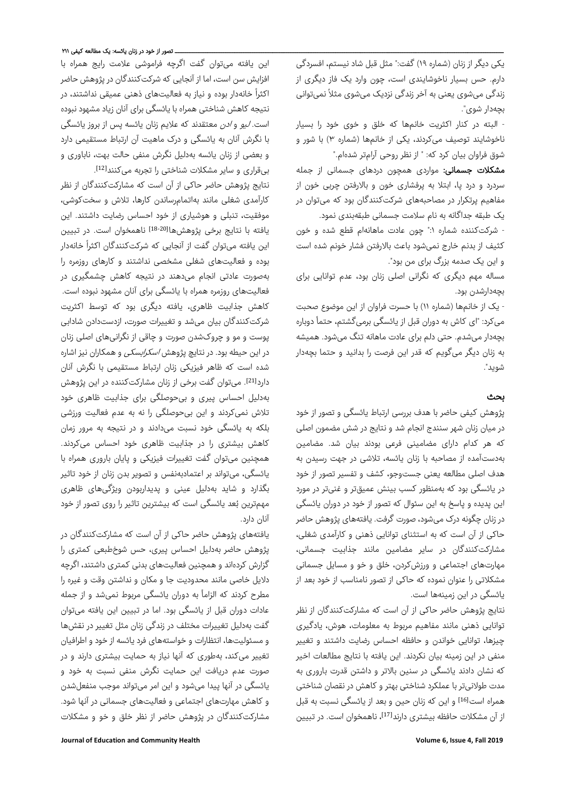یکی دیگر از زنان (شماره ١٩) گفت:" مثل قبل شاد نیستم، افسردگی دارم. حس بسیار ناخوشایندی است، چون وارد یک فاز دیگری از زندگی میشوی یعنی به آخر زندگی نزدیک میشوی مثلاً نمیتوانی بچهدار شوی".

- البته در کنار اکثریت خانمها که خلق و خوی خود را بسیار ناخوشایند توصیف میکردند، یکی از خانمها (شماره ٣) با شور و شوق فراوان بیان کرد که: " از نظر روحی آرامتر شدهام."

**مشکلات جسمانی:** مواردی همچون دردهای جسمانی از جمله سردرد و درد پا، ابتلا به پرفشاری خون و بالارفتن چربی خون از مفاهیم پرتکرار در مصاحبههای شرکتکنندگان بود که میتوان در یک طبقه جداگانه به نام سلامت جسمانی طبقهبندی نمود.

- شرکتکننده شماره :١" چون عادت ماهانهام قطع شده و خون کثیف از بدنم خارج نمیشود باعث بالارفتن فشار خونم شده است و این یک صدمه بزرگ برای من بود".

مساله مهم دیگری که نگرانی اصلی زنان بود، عدم توانایی برای بچهدارشدن بود.

- یک از خانمها (شماره ١١) با حسرت فراوان از این موضوع صحبت میکرد: "ای کاش به دوران قبل از یائسگی برمیگشتم، حتماً دوباره بچهدار میشدم. حتی دلم برای عادت ماهانه تنگ میشود. همیشه به زنان دیگر میگویم که قدر این فرصت را بدانید و حتما بچهدار شوید".

# بحث

پژوهش کیفی حاضر با هدف بررسی ارتباط یائسگی و تصور از خود در میان زنان شهر سنندج انجام شد و نتایج در شش مضمون اصلی که هر کدام دارای مضامینی فرعی بودند بیان شد. مضامین بهدستآمده از مصاحبه با زنان یائسه، تلاشی در جهت رسیدن به هدف اصلی مطالعه یعنی جستوجو، کشف و تفسیر تصور از خود در یائسگی بود که بهمنظور کسب بینش عمیقتر و غنیتر در مورد این پدیده و پاسخ به این سئوال که تصور از خود در دوران یائسگی در زنان چگونه درک میشود، صورت گرفت. یافتههای پژوهش حاضر حاکی از آن است که به استثنای توانایی ذهنی و کارآمدی شغلی، مشارکتکنندگان در سایر مضامین مانند جذابیت جسمانی، مهارتهای اجتماعی و ورزشکردن، خلق و خو و مسایل جسمانی مشکلاتی را عنوان نموده که حاکی از تصور نامناسب از خود بعد از یائسگی در این زمینهها است.

نتایج پژوهش حاضر حاکی از آن است که مشارکتکنندگان از نظر توانایی ذهنی مانند مفاهیم مربوط به معلومات، هوش، یادگیری چیزها، توانایی خواندن و حافظه احساس رضایت داشتند و تغییر منفی در این زمینه بیان نکردند. این یافته با نتایج مطالعات اخیر که نشان دادند یائسگی در سنین بالاتر و داشتن قدرت باروری به مدت طولانیتر با عملکرد شناختی بهتر و کاهش در نقصان شناختی همراه است[16] و این که زنان حین و بعد از یائسگی نسبت به قبل از آن مشکلات حافظه بیشتری دارند<sup>[17]</sup>، ناهمخوان است. در تبیین

این یافته میتوان گفت اگرچه فراموشی علامت رایج همراه با افزایش سن است، اما از آنجایی که شرکتکنندگان در پژوهش حاضر اکثراً خانهدار بوده و نیاز به فعالیتهای ذهنی عمیقی نداشتند، در نتیجه کاهش شناختی همراه با یائسگی برای آنان زیاد مشهود نبوده است. *لیو* و *ادن* معتقدند که علایم زنان یائسه پس از بروز یائسگی با نگرش آنان به یائسگی و درک ماهیت آن ارتباط مستقیمی دارد و بعضی از زنان یائسه بهدلیل نگرش منفی حالت بهت، ناباوری و . [12] بیقراری و سایر مشکلات شناختی را تجربه میکنند

نتایج پژوهش حاضر حاکی از آن است که مشارکتکنندگان از نظر کارآمدی شغلی مانند بهاتمامرساندن کارها، تلاش و سختکوشی، موفقیت، تنبلی و هوشیاری از خود احساس رضایت داشتند. این یافته با نتایج برخی یژوهشهاا<sup>18-20]</sup> ناهمخوان است. در تبیین این یافته میتوان گفت از آنجایی که شرکتکنندگان اکثراً خانهدار بوده و فعالیتهای شغلی مشخصی نداشتند و کارهای روزمره را بهصورت عادتی انجام میدهند در نتیجه کاهش چشمگیری در فعالیتهای روزمره همراه با یائسگی برای آنان مشهود نبوده است. کاهش جذابیت ظاهری، یافته دیگری بود که توسط اکثریت شرکتکنندگان بیان میشد و تغییرات صورت، ازدستدادن شادابی پوست و مو و چروکشدن صورت و چاقی از نگرانیهای اصلی زنان در این حیطه بود. در نتایچ پژوهش *اسکرابسکی* و همکاران نیز اشاره شده است که ظاهر فیزیکی زنان ارتباط مستقیمی با نگرش آنان دارد<sup>[21]</sup>. میتوان گفت برخی از زنان مشارکتکننده در این پژوهش بهدلیل احساس پیری و بیحوصلگی برای جذابیت ظاهری خود تلاش نمیکردند و این بیحوصلگی را نه به عدم فعالیت ورزشی بلکه به یائسگی خود نسبت میدادند و در نتیجه به مرور زمان کاهش بیشتری را در جذابیت ظاهری خود احساس میکردند. همچنین میتوان گفت تغییرات فیزیکی و پایان باروری همراه با یائسگی، میتواند بر اعتمادبهنفس و تصویر بدن زنان از خود تاثیر بگذارد و شاید بهدلیل عینی و پدیداربودن ویژگیهای ظاهری مهمترین ُبعد یائسگی است که بیشترین تاثیر را روی تصور از خود آنان دارد.

یافتههای پژوهش حاضر حاکی از آن است که مشارکتکنندگان در پژوهش حاضر بهدلیل احساس پیری، حس شوخطبعی کمتری را گزارش کردهاند و همچنین فعالیتهای بدنی کمتری داشتند، اگرچه دلایل خاصی مانند محدودیت جا و مکان و نداشتن وقت و غیره را مطرح کردند که الزاماً به دوران یائسگی مربوط نمیشد و از جمله عادات دوران قبل از یائسگی بود. اما در تبیین این یافته میتوان گفت بهدلیل تغییرات مختلف در زندگی زنان مثل تغییر در نقشها و مسئولیتها، انتظارات و خواستههای فرد یائسه از خود و اطرافیان تغییر میکند، بهطوری که آنها نیاز به حمایت بیشتری دارند و در صورت عدم دریافت این حمایت نگرش منفی نسبت به خود و یائسگی در آنها پیدا میشود و این امر میتواند موجب منفعلشدن و کاهش مهارتهای اجتماعی و فعالیتهای جسمانی در آنها شود. مشارکتکنندگان در پژوهش حاضر از نظر خلق و خو و مشکلات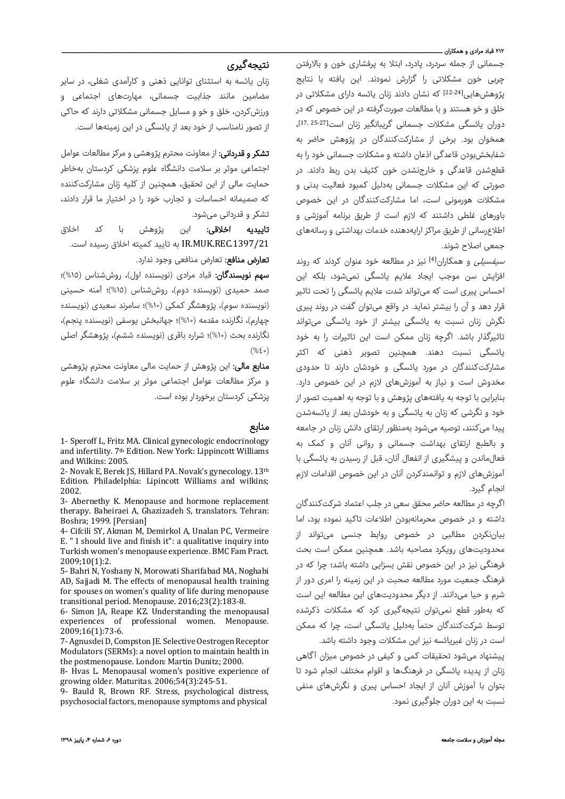#### ۲۱۲ قباد مرادی و همکاران ـــ

جسمانی از جمله سردرد، پادرد، ابتلا به پرفشاری خون و بالارفتن چربی خون مشکلاتی را گزارش نمودند. این یافته با نتایج پژوهشهایی<sup>[22-24]</sup> که نشان دادند زنان یائسه دارای مشکلاتی در خلق و خو هستند و با مطالعات صورتگرفته در این خصوص که در ، [27‐25 17,] دوران یائسگی مشکلات جسمانی گریبانگیر زنان است همخوان بود. برخی از مشارکتکنندگان در پژوهش حاضر به شفابخشبودن قاعدگی اذعان داشته و مشکلات جسمانی خود را به قطعشدن قاعدگی و خارجنشدن خون کثیف بدن ربط دادند. در صورتی که این مشکلات جسمانی بهدلیل کمبود فعالیت بدنی و مشکلات هورمونی است، اما مشارکتکنندگان در این خصوص باورهای غلطی داشتند که لازم است از طریق برنامه آموزشی و اطلاعرسانی از طریق مراکز ارایهدهنده خدمات بهداشتی و رسانههای جمعی اصلاح شوند.

سیفسیلی و همکاران[4] نیز در مطالعه خود عنوان کردند که روند افزایش سن موجب ایجاد علایم یائسگی نمیشود، بلکه این احساس پیری است که میتواند شدت علایم یائسگی را تحت تاثیر قرار دهد و آن را بیشتر نماید. در واقع میتوان گفت در روند پیری نگرش زنان نسبت به یائسگی بیشتر از خود یائسگی میتواند تاثیرگذار باشد. اگرچه زنان ممکن است این تاثیرات را به خود یائسگی نسبت دهند. همچنین تصویر ذهنی که اکثر مشارکتکنندگان در مورد یائسگی و خودشان دارند تا حدودی مخدوش است و نیاز به آموزشهای لازم در این خصوص دارد. بنابراین با توجه به یافتههای پژوهش و با توجه به اهمیت تصور از خود و نگرشی که زنان به یائسگی و به خودشان بعد از یائسهشدن پیدا میکنند، توصیه میشود بهمنظور ارتقای دانش زنان در جامعه و بالطبع ارتقای بهداشت جسمانی و روانی آنان و کمک به فعالماندن و پیشگیری از انفعال آنان، قبل از رسیدن به یائسگی با آموزشهای لازم و توانمندکردن آنان در این خصوص اقدامات لازم انجام گیرد.

اگرچه در مطالعه حاضر محقق سعی در جلب اعتماد شرکتکنندگان داشته و در خصوص محرمانهبودن اطلاعات تاکید نموده بود، اما بیاننکردن مطالبی در خصوص روابط جنسی میتواند از محدودیتهای رویکرد مصاحبه باشد. همچنین ممکن است بحث فرهنگی نیز در این خصوص نقش بسزایی داشته باشد؛ چرا که در فرهنگ جمعیت مورد مطالعه صحبت در این زمینه را امری دور از شرم و حیا میدانند. از دیگر محدودیتهای این مطالعه این است که بهطور قطع نمیتوان نتیجهگیری کرد که مشکلات ذکرشده توسط شرکتکنندگان حتماً بهدلیل یائسگی است، چرا که ممکن است در زنان غیریائسه نیز این مشکلات وجود داشته باشد.

پیشنهاد میشود تحقیقات کمی و کیفی در خصوص میزان آگاهی زنان از پدیده یائسگی در فرهنگها و اقوام مختلف انجام شود تا بتوان با آموزش آنان از ایجاد احساس پیری و نگرشهای منفی نسبت به این دوران جلوگیری نمود.

# نتیجهگیری

زنان یائسه به استثنای توانایی ذهنی و کارآمدی شغلی، در سایر مضامین مانند جذابیت جسمانی، مهارتهای اجتماعی و ورزشکردن، خلق و خو و مسایل جسمانی مشکلاتی دارند که حاکی از تصور نامناسب از خود بعد از یائسگی در این زمینهها است.

<mark>تشکر و قدردانی:</mark> از معاونت محترم پژوهشی و مرکز مطالعات عوامل اجتماعی موثر بر سلامت دانشگاه علوم پزشکی کردستان بهخاطر حمایت مالی از این تحقیق، همچنین از کلیه زنان مشارکتکننده که صمیمانه احساسات و تجارب خود را در اختیار ما قرار دادند، تشکر و قدردانی میشود.

<mark>تاییدیه اخلاقی:</mark> این پژوهش با کد اخلاق .1397/21REC.MUK.IR به تایید کمیته اخلاق رسیده است.

تعارض منافع: تعارض منافعی وجود ندارد.

سهم نویسندگان: قباد مرادی (نویسنده اول)، روششناس (%١٥)؛ صمد حمیدی (نویسنده دوم)، روششناس (%١٥)؛ آمنه حسینی (نویسنده سوم)، پژوهشگر کمکی (%١٠)؛ سامرند سعیدی (نویسنده چهارم)، نگارنده مقدمه (%١٠)؛ جهانبخش یوسفی (نویسنده پنجم)، نگارنده بحث (%١٠)؛ شراره باقری (نویسنده ششم)، پژوهشگر اصلی (%٤٠)

**منابع مالی:** این پژوهش از حمایت مالی معاونت محترم پژوهشی و مرکز مطالعات عوامل اجتماعی موثر بر سلامت دانشگاه علوم پزشکی کردستان برخوردار بوده است.

## منابع

1- Speroff L, Fritz MA. Clinical gynecologic endocrinology and infertility. 7<sup>th</sup> Edition. New York: Lippincott Williams and Wilkins: 2005.

2- Novak E, Berek JS, Hillard PA. Novak's gynecology. 13th Edition. Philadelphia: Lipincott Williams and wilkins; 2002. 

3- Abernethy K. Menopause and hormone replacement therapy. Baheiraei A, Ghazizadeh S, translators. Tehran: Boshra; 1999. [Persian]

4- Cifcili SY, Akman M, Demirkol A, Unalan PC, Vermeire E.  $"$  I should live and finish it": a qualitative inquiry into Turkish women's menopause experience. BMC Fam Pract. 2009;10(1):2.

5- Bahri N, Yoshany N, Morowati Sharifabad MA, Noghabi AD, Sajjadi M. The effects of menopausal health training for spouses on women's quality of life during menopause transitional period. Menopause. 2016;23(2):183-8.

6- Simon JA, Reape KZ. Understanding the menopausal experiences of professional women. Menopause. 2009;16(1):73‐6. 

7- Agnusdei D, Compston JE. Selective Oestrogen Receptor Modulators (SERMs): a novel option to maintain health in the postmenopause. London: Martin Dunitz; 2000.

8- Hyas L. Menopausal women's positive experience of growing older. Maturitas. 2006;54(3):245-51.

9- Bauld R, Brown RF. Stress, psychological distress, psychosocial factors, menopause symptoms and physical